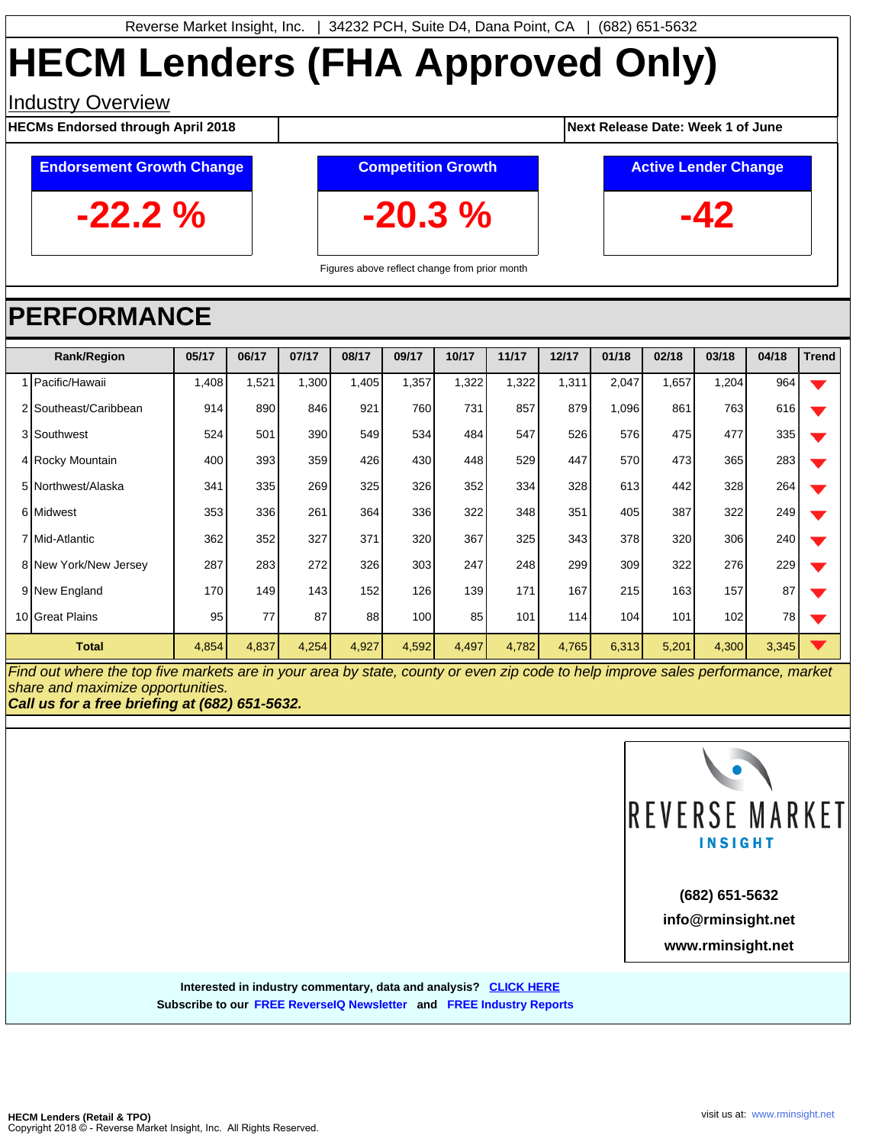# **HECM Lenders (FHA Approved Only)**

### **Industry Overview**

**HECMs Endorsed through April 2018 1 <b>Next Release Date:** Week 1 of June

## **Endorsement Growth Change**

**-20.3 %**

**Competition Growth**

**Active Lender Change**

**-42**

**-22.2 %**

Figures above reflect change from prior month

## **PERFORMANCE**

| <b>Rank/Region</b>    | 05/17 | 06/17 | 07/17 | 08/17 | 09/17 | 10/17 | 11/17 | 12/17 | 01/18 | 02/18 | 03/18 | 04/18 | <b>Trend</b> |
|-----------------------|-------|-------|-------|-------|-------|-------|-------|-------|-------|-------|-------|-------|--------------|
| Pacific/Hawaii        | ,408  | 1,521 | 1,300 | 1,405 | 1,357 | 1,322 | 1,322 | 1,311 | 2,047 | 1,657 | 1,204 | 964   |              |
| 2 Southeast/Caribbean | 914   | 890   | 846   | 921   | 760   | 731   | 857   | 879   | 1,096 | 861   | 763   | 616   |              |
| 3 Southwest           | 524   | 501   | 390   | 549   | 534   | 484   | 547   | 526   | 576   | 475   | 477   | 335   |              |
| 4 Rocky Mountain      | 400   | 393   | 359   | 426   | 430   | 448   | 529   | 447   | 570   | 473   | 365   | 283   |              |
| 5 Northwest/Alaska    | 341   | 335   | 269   | 325   | 326   | 352   | 334   | 328   | 613   | 442   | 328   | 264   |              |
| 6 Midwest             | 353   | 336   | 261   | 364   | 336   | 322   | 348   | 351   | 405   | 387   | 322   | 249   |              |
| 7 Mid-Atlantic        | 362   | 352   | 327   | 371   | 320   | 367   | 325   | 343   | 378   | 320   | 306   | 240   |              |
| 8 New York/New Jersey | 287   | 283   | 272   | 326   | 303   | 247   | 248   | 299   | 309   | 322   | 276   | 229   |              |
| 9 New England         | 170   | 149   | 143   | 152   | 126   | 139   | 171   | 167   | 215   | 163   | 157   | 87    |              |
| 10 Great Plains       | 95    | 77    | 87    | 88    | 100   | 85    | 101   | 114   | 104   | 101   | 102   | 78    |              |
| <b>Total</b>          | 4,854 | 4,837 | 4,254 | 4,927 | 4,592 | 4,497 | 4,782 | 4,765 | 6,313 | 5,201 | 4,300 | 3,345 |              |

Find out where the top five markets are in your area by state, county or even zip code to help improve sales performance, market share and maximize opportunities.

**Call us for a free briefing at (682) 651-5632.**



**www.rminsight.net info@rminsight.net (682) 651-5632**

**Interested in industry commentary, data and analysis? [CLICK HERE](http://www.rminsight.net/signup.php) Subscribe to ou[r FREE ReverseIQ Newsletter](http://www.rminsight.net/signup.php) and [FREE Industry Reports](http://www.rminsight.net/signup.php)**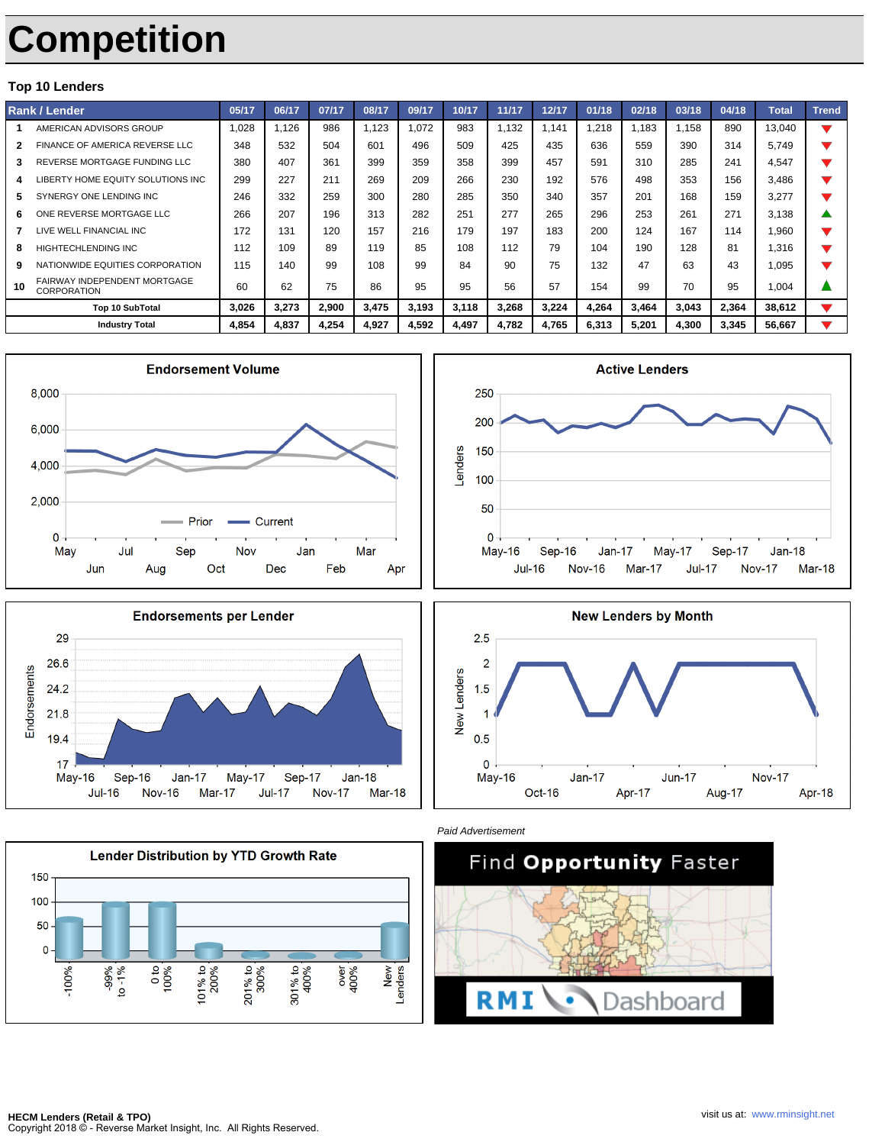# **Competition**

#### **Top 10 Lenders**

| Rank / Lender |                                                    | 05/17 | 06/17 | 07/17 | 08/17 | 09/17 | 10/17 | 11/17 | 12/17 | 01/18 | 02/18 | 03/18 | 04/18 | <b>Total</b> | <b>Trend</b> |
|---------------|----------------------------------------------------|-------|-------|-------|-------|-------|-------|-------|-------|-------|-------|-------|-------|--------------|--------------|
|               | AMERICAN ADVISORS GROUP                            | 1.028 | 1.126 | 986   | 1.123 | 1.072 | 983   | 1.132 | 1.141 | 1.218 | 1.183 | 1.158 | 890   | 13.040       |              |
|               | FINANCE OF AMERICA REVERSE LLC                     | 348   | 532   | 504   | 601   | 496   | 509   | 425   | 435   | 636   | 559   | 390   | 314   | 5.749        |              |
| 3             | REVERSE MORTGAGE FUNDING LLC                       | 380   | 407   | 361   | 399   | 359   | 358   | 399   | 457   | 591   | 310   | 285   | 241   | 4.547        |              |
|               | LIBERTY HOME EQUITY SOLUTIONS INC                  | 299   | 227   | 211   | 269   | 209   | 266   | 230   | 192   | 576   | 498   | 353   | 156   | 3,486        |              |
| 5             | SYNERGY ONE LENDING INC                            | 246   | 332   | 259   | 300   | 280   | 285   | 350   | 340   | 357   | 201   | 168   | 159   | 3.277        |              |
| 6             | ONE REVERSE MORTGAGE LLC                           | 266   | 207   | 196   | 313   | 282   | 251   | 277   | 265   | 296   | 253   | 261   | 271   | 3.138        |              |
|               | LIVE WELL FINANCIAL INC                            | 172   | 131   | 120   | 157   | 216   | 179   | 197   | 183   | 200   | 124   | 167   | 114   | 1.960        |              |
| 8             | <b>HIGHTECHLENDING INC</b>                         | 112   | 109   | 89    | 119   | 85    | 108   | 112   | 79    | 104   | 190   | 128   | 81    | 1.316        |              |
| 9             | NATIONWIDE EQUITIES CORPORATION                    | 115   | 140   | 99    | 108   | 99    | 84    | 90    | 75    | 132   | 47    | 63    | 43    | 1.095        |              |
| 10            | FAIRWAY INDEPENDENT MORTGAGE<br><b>CORPORATION</b> | 60    | 62    | 75    | 86    | 95    | 95    | 56    | 57    | 154   | 99    | 70    | 95    | 1.004        |              |
|               | <b>Top 10 SubTotal</b>                             | 3.026 | 3,273 | 2,900 | 3,475 | 3,193 | 3,118 | 3,268 | 3,224 | 4,264 | 3,464 | 3,043 | 2,364 | 38.612       |              |
|               | <b>Industry Total</b>                              | 4,854 | 4,837 | 4,254 | 4,927 | 4,592 | 4,497 | 4,782 | 4,765 | 6,313 | 5,201 | 4,300 | 3,345 | 56,667       |              |













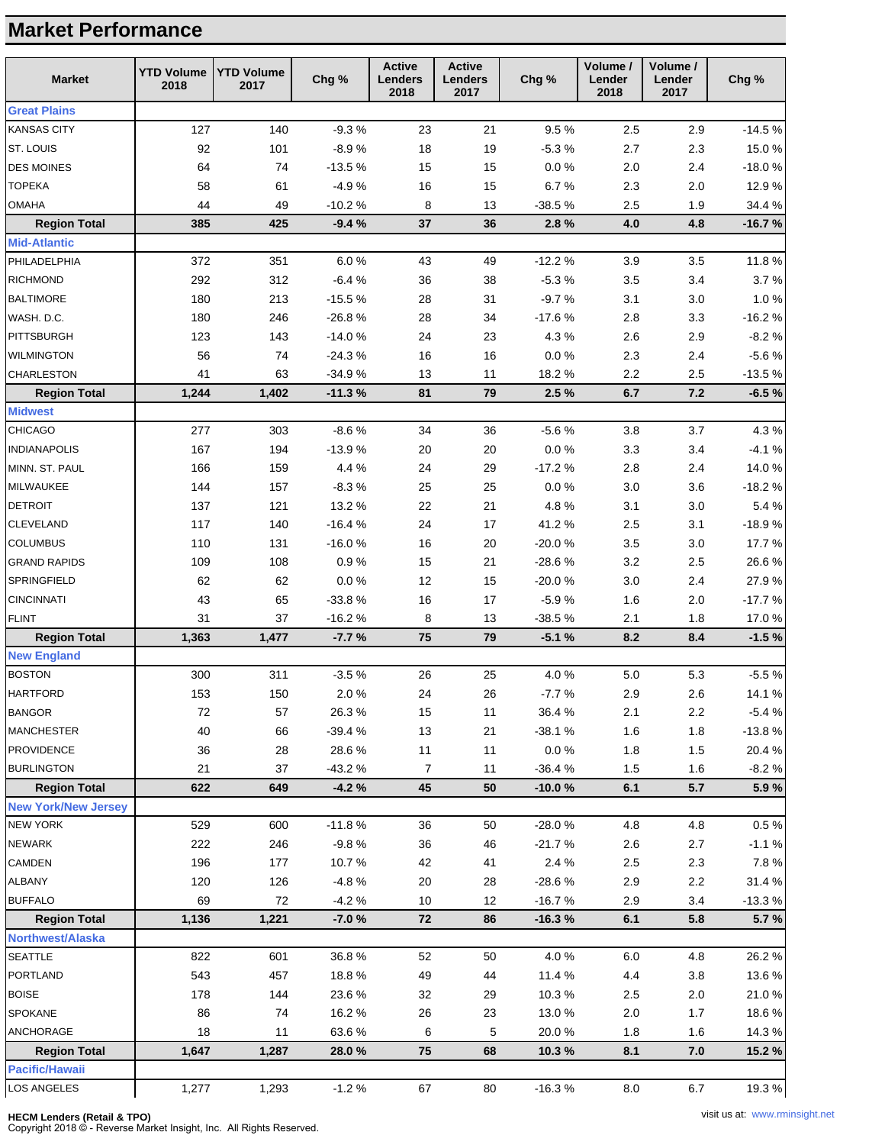### **Market Performance**

| <b>Great Plains</b><br>127<br>140<br>21<br>9.5%<br><b>KANSAS CITY</b><br>$-9.3%$<br>23<br>2.5<br>2.9<br>ST. LOUIS<br>92<br>101<br>$-8.9%$<br>18<br>$-5.3%$<br>2.7<br>19<br>2.3<br><b>DES MOINES</b><br>64<br>74<br>$-13.5%$<br>15<br>15<br>0.0 %<br>2.0<br>2.4<br><b>TOPEKA</b><br>$-4.9%$<br>16<br>15<br>6.7%<br>2.3<br>2.0<br>58<br>61<br><b>OMAHA</b><br>44<br>49<br>$-10.2%$<br>8<br>$-38.5%$<br>2.5<br>13<br>1.9<br><b>Region Total</b><br>385<br>425<br>$-9.4%$<br>37<br>36<br>2.8%<br>4.8<br>4.0<br><b>Mid-Atlantic</b><br>PHILADELPHIA<br>372<br>351<br>6.0%<br>$-12.2%$<br>3.5<br>43<br>49<br>3.9<br>312<br>$-6.4%$<br><b>RICHMOND</b><br>292<br>36<br>38<br>$-5.3%$<br>3.5<br>3.4<br>213<br><b>BALTIMORE</b><br>180<br>$-15.5%$<br>28<br>$-9.7%$<br>3.1<br>$3.0\,$<br>31<br>WASH. D.C.<br>180<br>246<br>$-26.8%$<br>28<br>34<br>$-17.6%$<br>2.8<br>3.3<br><b>PITTSBURGH</b><br>143<br>$-14.0%$<br>24<br>23<br>4.3%<br>2.6<br>2.9<br>123<br>56<br>74<br>16<br>$0.0\,\%$<br>2.3<br><b>WILMINGTON</b><br>$-24.3%$<br>16<br>2.4<br>41<br>18.2%<br>2.2<br><b>CHARLESTON</b><br>63<br>$-34.9%$<br>13<br>11<br>2.5<br>1,244<br>1,402<br>$-11.3%$<br>81<br>79<br>2.5%<br>6.7<br>7.2<br><b>Region Total</b><br><b>Midwest</b> | Chg %             |
|--------------------------------------------------------------------------------------------------------------------------------------------------------------------------------------------------------------------------------------------------------------------------------------------------------------------------------------------------------------------------------------------------------------------------------------------------------------------------------------------------------------------------------------------------------------------------------------------------------------------------------------------------------------------------------------------------------------------------------------------------------------------------------------------------------------------------------------------------------------------------------------------------------------------------------------------------------------------------------------------------------------------------------------------------------------------------------------------------------------------------------------------------------------------------------------------------------------------------------|-------------------|
|                                                                                                                                                                                                                                                                                                                                                                                                                                                                                                                                                                                                                                                                                                                                                                                                                                                                                                                                                                                                                                                                                                                                                                                                                                |                   |
|                                                                                                                                                                                                                                                                                                                                                                                                                                                                                                                                                                                                                                                                                                                                                                                                                                                                                                                                                                                                                                                                                                                                                                                                                                | $-14.5%$          |
|                                                                                                                                                                                                                                                                                                                                                                                                                                                                                                                                                                                                                                                                                                                                                                                                                                                                                                                                                                                                                                                                                                                                                                                                                                | 15.0%             |
|                                                                                                                                                                                                                                                                                                                                                                                                                                                                                                                                                                                                                                                                                                                                                                                                                                                                                                                                                                                                                                                                                                                                                                                                                                | $-18.0%$          |
|                                                                                                                                                                                                                                                                                                                                                                                                                                                                                                                                                                                                                                                                                                                                                                                                                                                                                                                                                                                                                                                                                                                                                                                                                                | 12.9%             |
|                                                                                                                                                                                                                                                                                                                                                                                                                                                                                                                                                                                                                                                                                                                                                                                                                                                                                                                                                                                                                                                                                                                                                                                                                                | 34.4%             |
|                                                                                                                                                                                                                                                                                                                                                                                                                                                                                                                                                                                                                                                                                                                                                                                                                                                                                                                                                                                                                                                                                                                                                                                                                                | $-16.7%$          |
|                                                                                                                                                                                                                                                                                                                                                                                                                                                                                                                                                                                                                                                                                                                                                                                                                                                                                                                                                                                                                                                                                                                                                                                                                                |                   |
|                                                                                                                                                                                                                                                                                                                                                                                                                                                                                                                                                                                                                                                                                                                                                                                                                                                                                                                                                                                                                                                                                                                                                                                                                                | 11.8%             |
|                                                                                                                                                                                                                                                                                                                                                                                                                                                                                                                                                                                                                                                                                                                                                                                                                                                                                                                                                                                                                                                                                                                                                                                                                                | 3.7%              |
|                                                                                                                                                                                                                                                                                                                                                                                                                                                                                                                                                                                                                                                                                                                                                                                                                                                                                                                                                                                                                                                                                                                                                                                                                                | 1.0%              |
|                                                                                                                                                                                                                                                                                                                                                                                                                                                                                                                                                                                                                                                                                                                                                                                                                                                                                                                                                                                                                                                                                                                                                                                                                                | $-16.2%$          |
|                                                                                                                                                                                                                                                                                                                                                                                                                                                                                                                                                                                                                                                                                                                                                                                                                                                                                                                                                                                                                                                                                                                                                                                                                                | $-8.2%$           |
|                                                                                                                                                                                                                                                                                                                                                                                                                                                                                                                                                                                                                                                                                                                                                                                                                                                                                                                                                                                                                                                                                                                                                                                                                                | $-5.6%$           |
|                                                                                                                                                                                                                                                                                                                                                                                                                                                                                                                                                                                                                                                                                                                                                                                                                                                                                                                                                                                                                                                                                                                                                                                                                                | $-13.5%$          |
|                                                                                                                                                                                                                                                                                                                                                                                                                                                                                                                                                                                                                                                                                                                                                                                                                                                                                                                                                                                                                                                                                                                                                                                                                                | $-6.5%$           |
|                                                                                                                                                                                                                                                                                                                                                                                                                                                                                                                                                                                                                                                                                                                                                                                                                                                                                                                                                                                                                                                                                                                                                                                                                                |                   |
| $-8.6%$<br>CHICAGO<br>277<br>303<br>34<br>$-5.6%$<br>3.8<br>3.7<br>36                                                                                                                                                                                                                                                                                                                                                                                                                                                                                                                                                                                                                                                                                                                                                                                                                                                                                                                                                                                                                                                                                                                                                          | 4.3%              |
| 194<br>$-13.9%$<br>0.0 %<br><b>INDIANAPOLIS</b><br>167<br>20<br>20<br>3.3<br>3.4                                                                                                                                                                                                                                                                                                                                                                                                                                                                                                                                                                                                                                                                                                                                                                                                                                                                                                                                                                                                                                                                                                                                               | $-4.1%$           |
| 159<br>4.4%<br>24<br>$-17.2%$<br>2.8<br>MINN. ST. PAUL<br>166<br>29<br>2.4                                                                                                                                                                                                                                                                                                                                                                                                                                                                                                                                                                                                                                                                                                                                                                                                                                                                                                                                                                                                                                                                                                                                                     | 14.0%             |
| 144<br>157<br>$-8.3%$<br>25<br>0.0 %<br>3.0<br>3.6<br>MILWAUKEE<br>25                                                                                                                                                                                                                                                                                                                                                                                                                                                                                                                                                                                                                                                                                                                                                                                                                                                                                                                                                                                                                                                                                                                                                          | $-18.2%$          |
| <b>DETROIT</b><br>121<br>13.2 %<br>22<br>21<br>4.8%<br>3.1<br>$3.0\,$<br>137                                                                                                                                                                                                                                                                                                                                                                                                                                                                                                                                                                                                                                                                                                                                                                                                                                                                                                                                                                                                                                                                                                                                                   | 5.4%              |
| 117<br>140<br>$-16.4%$<br>24<br>17<br>41.2%<br>$2.5\,$<br>3.1<br>CLEVELAND                                                                                                                                                                                                                                                                                                                                                                                                                                                                                                                                                                                                                                                                                                                                                                                                                                                                                                                                                                                                                                                                                                                                                     | $-18.9%$          |
| <b>COLUMBUS</b><br>110<br>131<br>$-16.0%$<br>16<br>20<br>$-20.0%$<br>3.5<br>3.0                                                                                                                                                                                                                                                                                                                                                                                                                                                                                                                                                                                                                                                                                                                                                                                                                                                                                                                                                                                                                                                                                                                                                | 17.7%             |
| 109<br>108<br>0.9%<br>15<br>21<br>$-28.6%$<br>3.2<br>2.5<br><b>GRAND RAPIDS</b>                                                                                                                                                                                                                                                                                                                                                                                                                                                                                                                                                                                                                                                                                                                                                                                                                                                                                                                                                                                                                                                                                                                                                | 26.6%             |
| 62<br>62<br>0.0 %<br>12<br>15<br>$-20.0%$<br>SPRINGFIELD<br>3.0<br>2.4                                                                                                                                                                                                                                                                                                                                                                                                                                                                                                                                                                                                                                                                                                                                                                                                                                                                                                                                                                                                                                                                                                                                                         | 27.9%             |
| <b>CINCINNATI</b><br>43<br>65<br>$-33.8%$<br>16<br>17<br>$-5.9%$<br>1.6<br>2.0                                                                                                                                                                                                                                                                                                                                                                                                                                                                                                                                                                                                                                                                                                                                                                                                                                                                                                                                                                                                                                                                                                                                                 | $-17.7%$          |
| <b>FLINT</b><br>37<br>$-16.2%$<br>$-38.5%$<br>31<br>8<br>13<br>2.1<br>1.8                                                                                                                                                                                                                                                                                                                                                                                                                                                                                                                                                                                                                                                                                                                                                                                                                                                                                                                                                                                                                                                                                                                                                      | 17.0%             |
| 75<br>79<br>$-5.1%$<br>8.4<br><b>Region Total</b><br>1,363<br>1,477<br>$-7.7%$<br>8.2                                                                                                                                                                                                                                                                                                                                                                                                                                                                                                                                                                                                                                                                                                                                                                                                                                                                                                                                                                                                                                                                                                                                          | $-1.5%$           |
| <b>New England</b>                                                                                                                                                                                                                                                                                                                                                                                                                                                                                                                                                                                                                                                                                                                                                                                                                                                                                                                                                                                                                                                                                                                                                                                                             |                   |
| 311<br><b>BOSTON</b><br>300<br>$-3.5%$<br>26<br>25<br>4.0%<br>$5.0$<br>5.3                                                                                                                                                                                                                                                                                                                                                                                                                                                                                                                                                                                                                                                                                                                                                                                                                                                                                                                                                                                                                                                                                                                                                     | $-5.5%$           |
| 153<br>150<br>2.6<br><b>HARTFORD</b><br>2.0%<br>24<br>26<br>$-7.7%$<br>2.9                                                                                                                                                                                                                                                                                                                                                                                                                                                                                                                                                                                                                                                                                                                                                                                                                                                                                                                                                                                                                                                                                                                                                     | 14.1%             |
| $72\,$<br>26.3%<br>36.4%<br>2.1<br><b>BANGOR</b><br>57<br>15<br>11<br>2.2                                                                                                                                                                                                                                                                                                                                                                                                                                                                                                                                                                                                                                                                                                                                                                                                                                                                                                                                                                                                                                                                                                                                                      | $-5.4%$           |
| 40<br>$-39.4%$<br>13<br>$-38.1%$<br>1.6<br>66<br>21<br>1.8<br><b>MANCHESTER</b>                                                                                                                                                                                                                                                                                                                                                                                                                                                                                                                                                                                                                                                                                                                                                                                                                                                                                                                                                                                                                                                                                                                                                | $-13.8%$          |
| 36<br>28<br>11<br>$0.0\ \%$<br>1.8<br><b>PROVIDENCE</b><br>28.6%<br>11<br>1.5                                                                                                                                                                                                                                                                                                                                                                                                                                                                                                                                                                                                                                                                                                                                                                                                                                                                                                                                                                                                                                                                                                                                                  | 20.4%             |
| 7<br><b>BURLINGTON</b><br>21<br>37<br>$-43.2%$<br>11<br>$-36.4%$<br>1.5<br>1.6                                                                                                                                                                                                                                                                                                                                                                                                                                                                                                                                                                                                                                                                                                                                                                                                                                                                                                                                                                                                                                                                                                                                                 | $-8.2%$           |
| <b>Region Total</b><br>622<br>649<br>$-4.2%$<br>45<br>50<br>$-10.0%$<br>6.1<br>5.7<br><b>New York/New Jersey</b>                                                                                                                                                                                                                                                                                                                                                                                                                                                                                                                                                                                                                                                                                                                                                                                                                                                                                                                                                                                                                                                                                                               | 5.9%              |
|                                                                                                                                                                                                                                                                                                                                                                                                                                                                                                                                                                                                                                                                                                                                                                                                                                                                                                                                                                                                                                                                                                                                                                                                                                |                   |
| $-11.8%$<br>$-28.0%$<br><b>NEW YORK</b><br>529<br>600<br>36<br>50<br>4.8<br>4.8                                                                                                                                                                                                                                                                                                                                                                                                                                                                                                                                                                                                                                                                                                                                                                                                                                                                                                                                                                                                                                                                                                                                                | 0.5%              |
| 222<br>246<br>$-9.8%$<br>$-21.7%$<br><b>NEWARK</b><br>36<br>46<br>2.6<br>2.7<br>10.7%                                                                                                                                                                                                                                                                                                                                                                                                                                                                                                                                                                                                                                                                                                                                                                                                                                                                                                                                                                                                                                                                                                                                          | $-1.1%$           |
| 177<br>CAMDEN<br>196<br>42<br>41<br>2.4 %<br>2.5<br>2.3<br><b>ALBANY</b>                                                                                                                                                                                                                                                                                                                                                                                                                                                                                                                                                                                                                                                                                                                                                                                                                                                                                                                                                                                                                                                                                                                                                       | 7.8%              |
| 126<br>2.9<br>120<br>$-4.8%$<br>20<br>$-28.6%$<br>2.2<br>28<br>69<br>72<br><b>BUFFALO</b><br>10<br>12<br>2.9<br>3.4                                                                                                                                                                                                                                                                                                                                                                                                                                                                                                                                                                                                                                                                                                                                                                                                                                                                                                                                                                                                                                                                                                            | 31.4%<br>$-13.3%$ |
| $-4.2%$<br>$-16.7%$<br><b>Region Total</b><br>1,136<br>1,221<br>$-7.0%$<br>72<br>6.1<br>5.8<br>86<br>$-16.3%$                                                                                                                                                                                                                                                                                                                                                                                                                                                                                                                                                                                                                                                                                                                                                                                                                                                                                                                                                                                                                                                                                                                  | 5.7%              |
| <b>Northwest/Alaska</b>                                                                                                                                                                                                                                                                                                                                                                                                                                                                                                                                                                                                                                                                                                                                                                                                                                                                                                                                                                                                                                                                                                                                                                                                        |                   |
| <b>SEATTLE</b><br>822<br>36.8%<br>4.0%<br>601<br>52<br>50<br>6.0<br>4.8                                                                                                                                                                                                                                                                                                                                                                                                                                                                                                                                                                                                                                                                                                                                                                                                                                                                                                                                                                                                                                                                                                                                                        | 26.2%             |
| PORTLAND<br>543<br>457<br>18.8%<br>49<br>44<br>11.4 %<br>4.4<br>3.8                                                                                                                                                                                                                                                                                                                                                                                                                                                                                                                                                                                                                                                                                                                                                                                                                                                                                                                                                                                                                                                                                                                                                            | 13.6%             |
| <b>BOISE</b><br>144<br>178<br>23.6%<br>10.3%<br>2.5<br>2.0<br>32<br>29                                                                                                                                                                                                                                                                                                                                                                                                                                                                                                                                                                                                                                                                                                                                                                                                                                                                                                                                                                                                                                                                                                                                                         | 21.0%             |
| SPOKANE<br>86<br>74<br>16.2%<br>26<br>23<br>13.0%<br>2.0<br>1.7                                                                                                                                                                                                                                                                                                                                                                                                                                                                                                                                                                                                                                                                                                                                                                                                                                                                                                                                                                                                                                                                                                                                                                | 18.6%             |
| 18<br>11<br>6<br>ANCHORAGE<br>63.6%<br>5<br>20.0%<br>1.8<br>1.6                                                                                                                                                                                                                                                                                                                                                                                                                                                                                                                                                                                                                                                                                                                                                                                                                                                                                                                                                                                                                                                                                                                                                                | 14.3%             |
| <b>Region Total</b><br>1,647<br>75<br>7.0<br>1,287<br>28.0%<br>68<br>10.3%<br>8.1                                                                                                                                                                                                                                                                                                                                                                                                                                                                                                                                                                                                                                                                                                                                                                                                                                                                                                                                                                                                                                                                                                                                              | 15.2 %            |
| <b>Pacific/Hawaii</b>                                                                                                                                                                                                                                                                                                                                                                                                                                                                                                                                                                                                                                                                                                                                                                                                                                                                                                                                                                                                                                                                                                                                                                                                          |                   |
| LOS ANGELES<br>67<br>$-16.3%$<br>1,277<br>1,293<br>$-1.2%$<br>80<br>8.0<br>6.7                                                                                                                                                                                                                                                                                                                                                                                                                                                                                                                                                                                                                                                                                                                                                                                                                                                                                                                                                                                                                                                                                                                                                 | 19.3 %            |

#### **HECM Lenders (Retail & TPO)**

Copyright 2018 © - Reverse Market Insight, Inc. All Rights Reserved.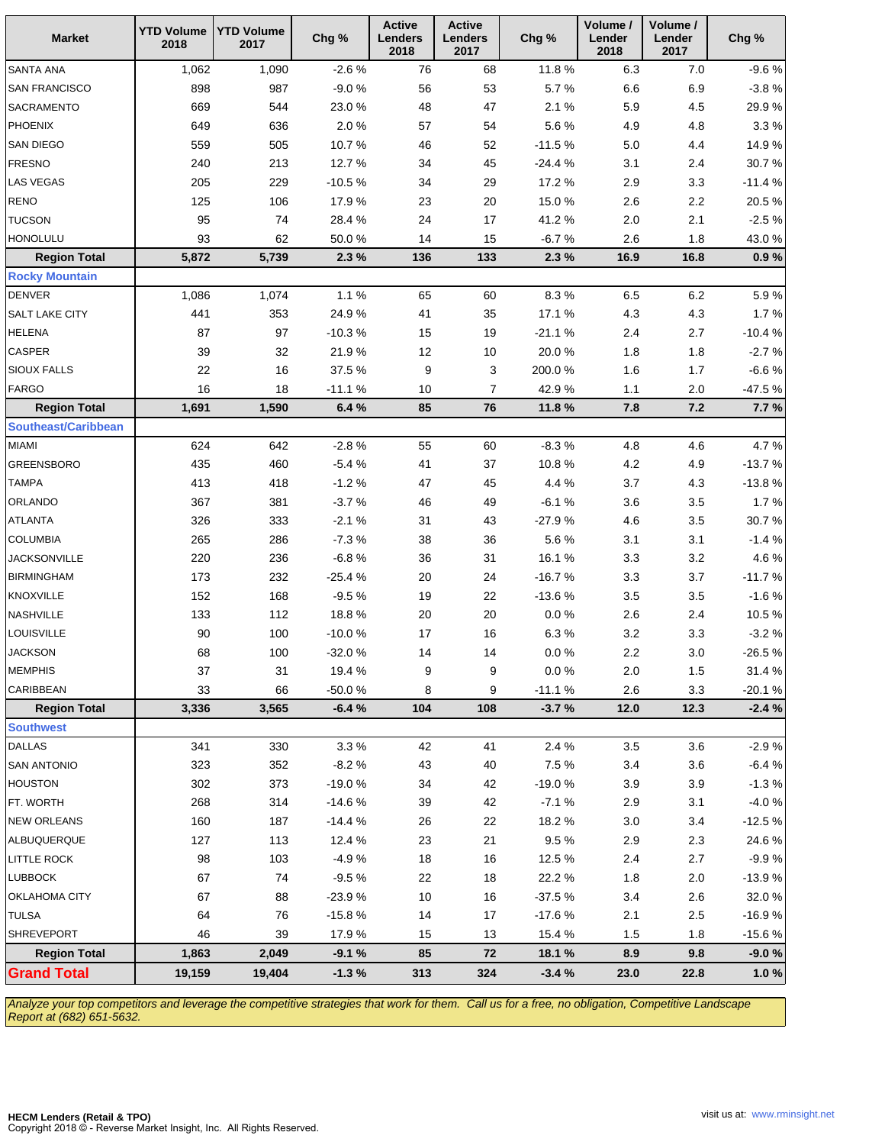| <b>Market</b>              | <b>YTD Volume</b><br>2018 | <b>YTD Volume</b><br>2017 | Chg %    | <b>Active</b><br>Lenders<br>2018 | <b>Active</b><br><b>Lenders</b><br>2017 | Chg %     | Volume /<br>Lender<br>2018 | Volume /<br>Lender<br>2017 | Chg %    |
|----------------------------|---------------------------|---------------------------|----------|----------------------------------|-----------------------------------------|-----------|----------------------------|----------------------------|----------|
| SANTA ANA                  | 1,062                     | 1,090                     | $-2.6%$  | 76                               | 68                                      | 11.8%     | 6.3                        | $7.0$                      | $-9.6%$  |
| <b>SAN FRANCISCO</b>       | 898                       | 987                       | $-9.0%$  | 56                               | 53                                      | 5.7%      | $6.6\,$                    | 6.9                        | $-3.8%$  |
| SACRAMENTO                 | 669                       | 544                       | 23.0%    | 48                               | 47                                      | 2.1%      | 5.9                        | $4.5\,$                    | 29.9%    |
| PHOENIX                    | 649                       | 636                       | 2.0%     | 57                               | 54                                      | 5.6%      | 4.9                        | 4.8                        | 3.3%     |
| SAN DIEGO                  | 559                       | 505                       | 10.7%    | 46                               | 52                                      | $-11.5%$  | $5.0\,$                    | 4.4                        | 14.9%    |
| <b>FRESNO</b>              | 240                       | 213                       | 12.7%    | 34                               | 45                                      | $-24.4%$  | 3.1                        | 2.4                        | 30.7%    |
| LAS VEGAS                  | 205                       | 229                       | $-10.5%$ | 34                               | 29                                      | 17.2 %    | 2.9                        | 3.3                        | $-11.4%$ |
| <b>RENO</b>                | 125                       | 106                       | 17.9%    | 23                               | 20                                      | 15.0%     | 2.6                        | $2.2\,$                    | 20.5%    |
| <b>TUCSON</b>              | 95                        | 74                        | 28.4%    | 24                               | 17                                      | 41.2%     | $2.0\,$                    | 2.1                        | $-2.5%$  |
| <b>HONOLULU</b>            | 93                        | 62                        | 50.0%    | 14                               | 15                                      | $-6.7%$   | 2.6                        | 1.8                        | 43.0%    |
| <b>Region Total</b>        | 5,872                     | 5,739                     | 2.3%     | 136                              | 133                                     | 2.3%      | 16.9                       | 16.8                       | 0.9%     |
| <b>Rocky Mountain</b>      |                           |                           |          |                                  |                                         |           |                            |                            |          |
| <b>DENVER</b>              | 1,086                     | 1,074                     | 1.1%     | 65                               | 60                                      | 8.3%      | 6.5                        | $6.2\,$                    | 5.9%     |
| SALT LAKE CITY             | 441                       | 353                       | 24.9%    | 41                               | 35                                      | 17.1 %    | 4.3                        | 4.3                        | 1.7%     |
| <b>HELENA</b>              | 87                        | 97                        | $-10.3%$ | 15                               | 19                                      | $-21.1%$  | 2.4                        | 2.7                        | $-10.4%$ |
| CASPER                     | 39                        | 32                        | 21.9%    | 12                               | 10                                      | 20.0%     | 1.8                        | 1.8                        | $-2.7%$  |
| <b>SIOUX FALLS</b>         | 22                        | 16                        | 37.5%    | 9                                | 3                                       | 200.0%    | 1.6                        | 1.7                        | $-6.6%$  |
| <b>FARGO</b>               | 16                        | 18                        | $-11.1%$ | 10                               | 7                                       | 42.9%     | $1.1$                      | 2.0                        | $-47.5%$ |
| <b>Region Total</b>        | 1,691                     | 1,590                     | 6.4%     | 85                               | 76                                      | 11.8%     | 7.8                        | $7.2$                      | 7.7%     |
| <b>Southeast/Caribbean</b> |                           |                           |          |                                  |                                         |           |                            |                            |          |
| <b>MIAMI</b>               | 624                       | 642                       | $-2.8%$  | 55                               | 60                                      | $-8.3%$   | 4.8                        | 4.6                        | 4.7%     |
| <b>GREENSBORO</b>          | 435                       | 460                       | $-5.4%$  | 41                               | 37                                      | 10.8%     | 4.2                        | 4.9                        | $-13.7%$ |
| <b>TAMPA</b>               | 413                       | 418                       | $-1.2%$  | 47                               | 45                                      | 4.4 %     | 3.7                        | 4.3                        | $-13.8%$ |
| ORLANDO                    | 367                       | 381                       | $-3.7%$  | 46                               | 49                                      | $-6.1%$   | 3.6                        | 3.5                        | 1.7%     |
| <b>ATLANTA</b>             | 326                       | 333                       | $-2.1%$  | 31                               | 43                                      | $-27.9%$  | 4.6                        | $3.5\,$                    | 30.7%    |
| <b>COLUMBIA</b>            | 265                       | 286                       | $-7.3%$  | 38                               | 36                                      | 5.6%      | 3.1                        | 3.1                        | $-1.4%$  |
| <b>JACKSONVILLE</b>        | 220                       | 236                       | $-6.8%$  | 36                               | 31                                      | 16.1%     | 3.3                        | $3.2\,$                    | 4.6%     |
| <b>BIRMINGHAM</b>          | 173                       | 232                       | $-25.4%$ | 20                               | 24                                      | $-16.7%$  | 3.3                        | 3.7                        | $-11.7%$ |
| KNOXVILLE                  | 152                       | 168                       | $-9.5%$  | 19                               | 22                                      | $-13.6%$  | 3.5                        | $3.5\,$                    | $-1.6%$  |
| NASHVILLE                  | 133                       | 112                       | 18.8%    | $20\,$                           | 20                                      | $0.0\ \%$ | 2.6                        | 2.4                        | 10.5%    |
| LOUISVILLE                 | 90                        | 100                       | $-10.0%$ | $17$                             | 16                                      | 6.3%      | $3.2\,$                    | 3.3                        | $-3.2%$  |
| <b>JACKSON</b>             | 68                        | 100                       | $-32.0%$ | 14                               | 14                                      | 0.0 %     | 2.2                        | $3.0\,$                    | $-26.5%$ |
| <b>MEMPHIS</b>             | 37                        | 31                        | 19.4 %   | 9                                | 9                                       | $0.0\ \%$ | $2.0\,$                    | 1.5                        | 31.4 %   |
| CARIBBEAN                  | 33                        | 66                        | $-50.0%$ | 8                                | 9                                       | $-11.1%$  | 2.6                        | 3.3                        | $-20.1%$ |
| <b>Region Total</b>        | 3,336                     | 3,565                     | $-6.4%$  | 104                              | 108                                     | $-3.7%$   | 12.0                       | 12.3                       | $-2.4%$  |
| <b>Southwest</b>           |                           |                           |          |                                  |                                         |           |                            |                            |          |
| <b>DALLAS</b>              | 341                       | 330                       | 3.3%     | 42                               | 41                                      | 2.4 %     | 3.5                        | 3.6                        | $-2.9%$  |
| <b>SAN ANTONIO</b>         | 323                       | 352                       | $-8.2%$  | 43                               | 40                                      | 7.5%      | 3.4                        | 3.6                        | $-6.4%$  |
| <b>HOUSTON</b>             | 302                       | 373                       | $-19.0%$ | 34                               | 42                                      | $-19.0%$  | 3.9                        | $3.9\,$                    | $-1.3%$  |
| FT. WORTH                  | 268                       | 314                       | $-14.6%$ | 39                               | 42                                      | $-7.1%$   | 2.9                        | 3.1                        | $-4.0%$  |
| <b>NEW ORLEANS</b>         | 160                       | 187                       | $-14.4%$ | 26                               | 22                                      | 18.2%     | $3.0\,$                    | 3.4                        | $-12.5%$ |
| ALBUQUERQUE                | 127                       | 113                       | 12.4%    | 23                               | 21                                      | 9.5%      | 2.9                        | 2.3                        | 24.6%    |
| LITTLE ROCK                | 98                        | 103                       | $-4.9%$  | 18                               | 16                                      | 12.5 %    | 2.4                        | 2.7                        | $-9.9%$  |
| LUBBOCK                    | 67                        | 74                        | $-9.5%$  | 22                               | 18                                      | 22.2%     | 1.8                        | 2.0                        | $-13.9%$ |
| OKLAHOMA CITY              | 67                        | 88                        | $-23.9%$ | $10$                             | 16                                      | $-37.5%$  | 3.4                        | $2.6\,$                    | 32.0%    |
| <b>TULSA</b>               | 64                        | 76                        | $-15.8%$ | 14                               | 17                                      | $-17.6%$  | 2.1                        | 2.5                        | $-16.9%$ |
| <b>SHREVEPORT</b>          | 46                        | 39                        | 17.9%    | 15                               | 13                                      | 15.4 %    | 1.5                        | 1.8                        | $-15.6%$ |
| <b>Region Total</b>        | 1,863                     | 2,049                     | $-9.1%$  | 85                               | 72                                      | 18.1%     | 8.9                        | 9.8                        | $-9.0%$  |
| <b>Grand Total</b>         | 19,159                    | 19,404                    | $-1.3%$  | 313                              | 324                                     | $-3.4%$   | 23.0                       | 22.8                       | 1.0%     |

Analyze your top competitors and leverage the competitive strategies that work for them. Call us for a free, no obligation, Competitive Landscape Report at (682) 651-5632.